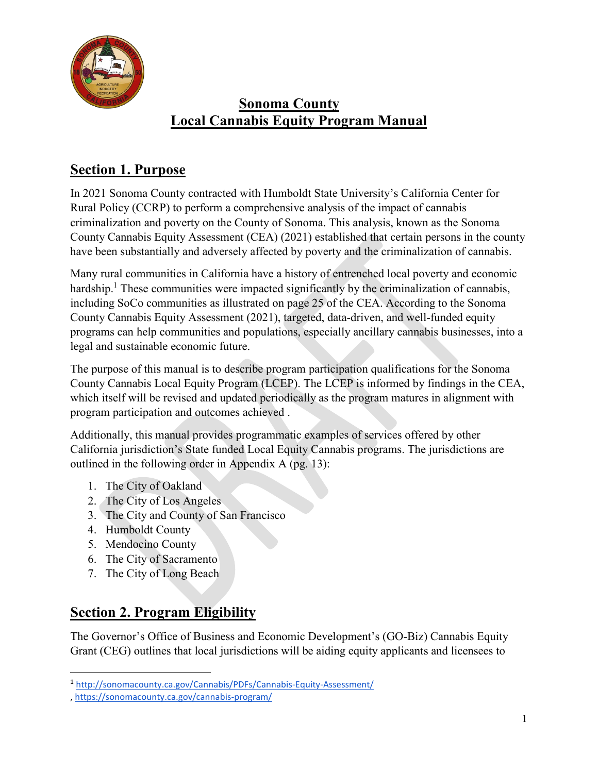

## **Section 1. Purpose**

In 2021 Sonoma County contracted with Humboldt State University's California Center for Rural Policy (CCRP) to perform a comprehensive analysis of the impact of cannabis criminalization and poverty on the County of Sonoma. This analysis, known as the Sonoma County Cannabis Equity Assessment (CEA) (2021) established that certain persons in the county have been substantially and adversely affected by poverty and the criminalization of cannabis.

Many rural communities in California have a history of entrenched local poverty and economic hardship.<sup>1</sup> These communities were impacted significantly by the criminalization of cannabis, including SoCo communities as illustrated on page 25 of the CEA. According to the Sonoma County Cannabis Equity Assessment (2021), targeted, data-driven, and well-funded equity programs can help communities and populations, especially ancillary cannabis businesses, into a legal and sustainable economic future.

The purpose of this manual is to describe program participation qualifications for the Sonoma County Cannabis Local Equity Program (LCEP). The LCEP is informed by findings in the CEA, which itself will be revised and updated periodically as the program matures in alignment with program participation and outcomes achieved .

Additionally, this manual provides programmatic examples of services offered by other California jurisdiction's State funded Local Equity Cannabis programs. The jurisdictions are outlined in the following order in Appendix A (pg. 13):

- 1. The City of Oakland
- 2. The City of Los Angeles
- 3. The City and County of San Francisco
- 4. Humboldt County

l

- 5. Mendocino County
- 6. The City of Sacramento
- 7. The City of Long Beach

# **Section 2. Program Eligibility**

The Governor's Office of Business and Economic Development's (GO-Biz) Cannabis Equity Grant (CEG) outlines that local jurisdictions will be aiding equity applicants and licensees to

<sup>1</sup> <http://sonomacounty.ca.gov/Cannabis/PDFs/Cannabis-Equity-Assessment/>

<sup>,</sup><https://sonomacounty.ca.gov/cannabis-program/>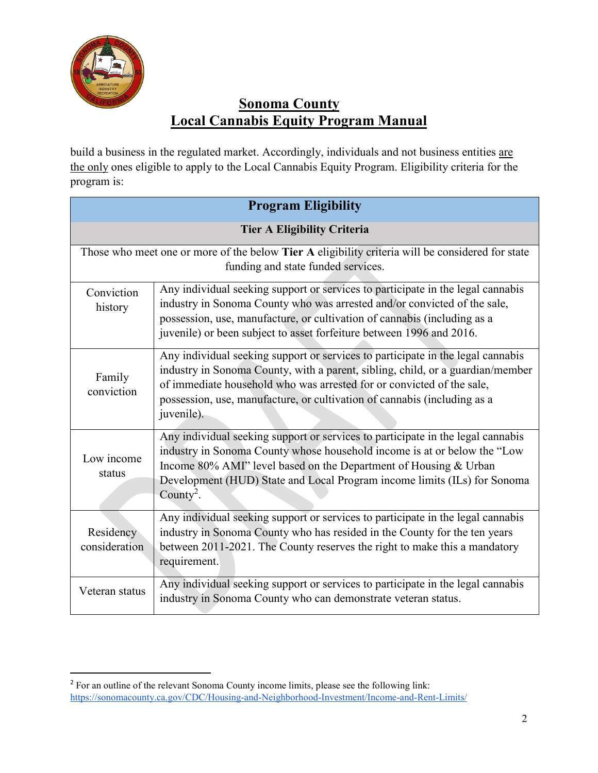

build a business in the regulated market. Accordingly, individuals and not business entities are the only ones eligible to apply to the Local Cannabis Equity Program. Eligibility criteria for the program is:

| <b>Program Eligibility</b>         |                                                                                                                                                                                                                                                                                                                                      |  |
|------------------------------------|--------------------------------------------------------------------------------------------------------------------------------------------------------------------------------------------------------------------------------------------------------------------------------------------------------------------------------------|--|
| <b>Tier A Eligibility Criteria</b> |                                                                                                                                                                                                                                                                                                                                      |  |
|                                    | Those who meet one or more of the below Tier A eligibility criteria will be considered for state<br>funding and state funded services.                                                                                                                                                                                               |  |
| Conviction<br>history              | Any individual seeking support or services to participate in the legal cannabis<br>industry in Sonoma County who was arrested and/or convicted of the sale,<br>possession, use, manufacture, or cultivation of cannabis (including as a<br>juvenile) or been subject to asset forfeiture between 1996 and 2016.                      |  |
| Family<br>conviction               | Any individual seeking support or services to participate in the legal cannabis<br>industry in Sonoma County, with a parent, sibling, child, or a guardian/member<br>of immediate household who was arrested for or convicted of the sale,<br>possession, use, manufacture, or cultivation of cannabis (including as a<br>juvenile). |  |
| Low income<br>status               | Any individual seeking support or services to participate in the legal cannabis<br>industry in Sonoma County whose household income is at or below the "Low<br>Income 80% AMI" level based on the Department of Housing & Urban<br>Development (HUD) State and Local Program income limits (ILs) for Sonoma<br>County <sup>2</sup> . |  |
| Residency<br>consideration         | Any individual seeking support or services to participate in the legal cannabis<br>industry in Sonoma County who has resided in the County for the ten years<br>between 2011-2021. The County reserves the right to make this a mandatory<br>requirement.                                                                            |  |
| Veteran status                     | Any individual seeking support or services to participate in the legal cannabis<br>industry in Sonoma County who can demonstrate veteran status.                                                                                                                                                                                     |  |

 <sup>2</sup> For an outline of the relevant Sonoma County income limits, please see the following link: <https://sonomacounty.ca.gov/CDC/Housing-and-Neighborhood-Investment/Income-and-Rent-Limits/>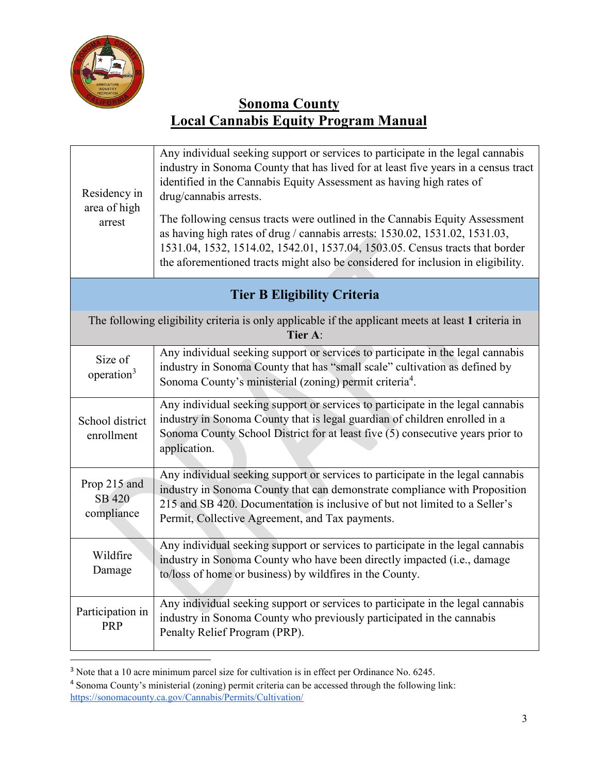

| Residency in<br>area of high<br>arrest | Any individual seeking support or services to participate in the legal cannabis<br>industry in Sonoma County that has lived for at least five years in a census tract<br>identified in the Cannabis Equity Assessment as having high rates of<br>drug/cannabis arrests.<br>The following census tracts were outlined in the Cannabis Equity Assessment<br>as having high rates of drug / cannabis arrests: 1530.02, 1531.02, 1531.03,<br>1531.04, 1532, 1514.02, 1542.01, 1537.04, 1503.05. Census tracts that border<br>the aforementioned tracts might also be considered for inclusion in eligibility. |  |  |
|----------------------------------------|-----------------------------------------------------------------------------------------------------------------------------------------------------------------------------------------------------------------------------------------------------------------------------------------------------------------------------------------------------------------------------------------------------------------------------------------------------------------------------------------------------------------------------------------------------------------------------------------------------------|--|--|
|                                        | <b>Tier B Eligibility Criteria</b>                                                                                                                                                                                                                                                                                                                                                                                                                                                                                                                                                                        |  |  |
|                                        | The following eligibility criteria is only applicable if the applicant meets at least 1 criteria in<br>Tier A:                                                                                                                                                                                                                                                                                                                                                                                                                                                                                            |  |  |
| Size of<br>operation <sup>3</sup>      | Any individual seeking support or services to participate in the legal cannabis<br>industry in Sonoma County that has "small scale" cultivation as defined by<br>Sonoma County's ministerial (zoning) permit criteria <sup>4</sup> .                                                                                                                                                                                                                                                                                                                                                                      |  |  |
| School district<br>enrollment          | Any individual seeking support or services to participate in the legal cannabis<br>industry in Sonoma County that is legal guardian of children enrolled in a<br>Sonoma County School District for at least five (5) consecutive years prior to<br>application.                                                                                                                                                                                                                                                                                                                                           |  |  |
| Prop 215 and<br>SB 420<br>compliance   | Any individual seeking support or services to participate in the legal cannabis<br>industry in Sonoma County that can demonstrate compliance with Proposition<br>215 and SB 420. Documentation is inclusive of but not limited to a Seller's<br>Permit, Collective Agreement, and Tax payments.                                                                                                                                                                                                                                                                                                           |  |  |
| Wildfire<br>Damage                     | Any individual seeking support or services to participate in the legal cannabis<br>industry in Sonoma County who have been directly impacted (i.e., damage<br>to/loss of home or business) by wildfires in the County.                                                                                                                                                                                                                                                                                                                                                                                    |  |  |
| Participation in<br><b>PRP</b>         | Any individual seeking support or services to participate in the legal cannabis<br>industry in Sonoma County who previously participated in the cannabis<br>Penalty Relief Program (PRP).                                                                                                                                                                                                                                                                                                                                                                                                                 |  |  |

<sup>&</sup>lt;sup>3</sup> Note that a 10 acre minimum parcel size for cultivation is in effect per Ordinance No. 6245.

<sup>4</sup> Sonoma County's ministerial (zoning) permit criteria can be accessed through the following link: <https://sonomacounty.ca.gov/Cannabis/Permits/Cultivation/>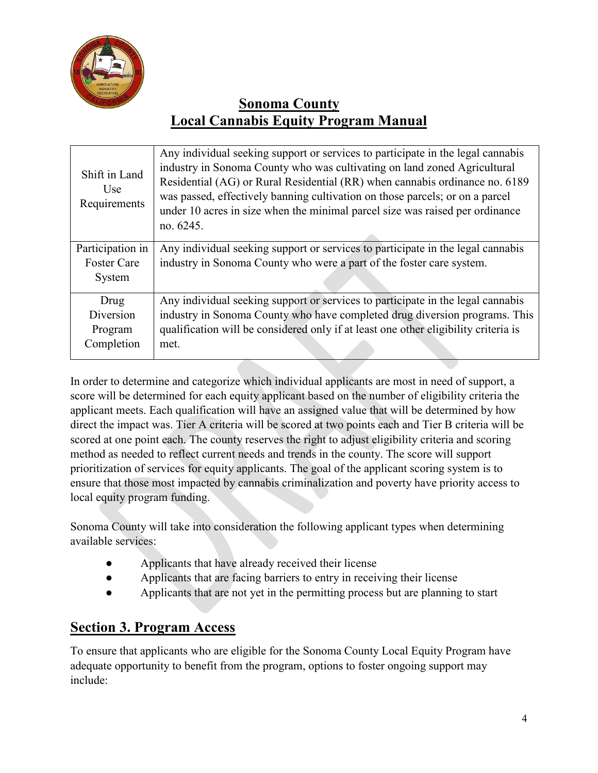

| Shift in Land<br>Use<br>Requirements | Any individual seeking support or services to participate in the legal cannabis<br>industry in Sonoma County who was cultivating on land zoned Agricultural<br>Residential (AG) or Rural Residential (RR) when cannabis ordinance no. 6189<br>was passed, effectively banning cultivation on those parcels; or on a parcel<br>under 10 acres in size when the minimal parcel size was raised per ordinance<br>no. 6245. |
|--------------------------------------|-------------------------------------------------------------------------------------------------------------------------------------------------------------------------------------------------------------------------------------------------------------------------------------------------------------------------------------------------------------------------------------------------------------------------|
| Participation in                     | Any individual seeking support or services to participate in the legal cannabis                                                                                                                                                                                                                                                                                                                                         |
| <b>Foster Care</b>                   | industry in Sonoma County who were a part of the foster care system.                                                                                                                                                                                                                                                                                                                                                    |
| System                               |                                                                                                                                                                                                                                                                                                                                                                                                                         |
|                                      |                                                                                                                                                                                                                                                                                                                                                                                                                         |
| Drug                                 | Any individual seeking support or services to participate in the legal cannabis                                                                                                                                                                                                                                                                                                                                         |
| Diversion                            | industry in Sonoma County who have completed drug diversion programs. This                                                                                                                                                                                                                                                                                                                                              |
| Program                              | qualification will be considered only if at least one other eligibility criteria is                                                                                                                                                                                                                                                                                                                                     |
| Completion                           | met.                                                                                                                                                                                                                                                                                                                                                                                                                    |
|                                      |                                                                                                                                                                                                                                                                                                                                                                                                                         |

In order to determine and categorize which individual applicants are most in need of support, a score will be determined for each equity applicant based on the number of eligibility criteria the applicant meets. Each qualification will have an assigned value that will be determined by how direct the impact was. Tier A criteria will be scored at two points each and Tier B criteria will be scored at one point each. The county reserves the right to adjust eligibility criteria and scoring method as needed to reflect current needs and trends in the county. The score will support prioritization of services for equity applicants. The goal of the applicant scoring system is to ensure that those most impacted by cannabis criminalization and poverty have priority access to local equity program funding.

Sonoma County will take into consideration the following applicant types when determining available services:

- Applicants that have already received their license
- Applicants that are facing barriers to entry in receiving their license
- Applicants that are not yet in the permitting process but are planning to start

# **Section 3. Program Access**

To ensure that applicants who are eligible for the Sonoma County Local Equity Program have adequate opportunity to benefit from the program, options to foster ongoing support may include: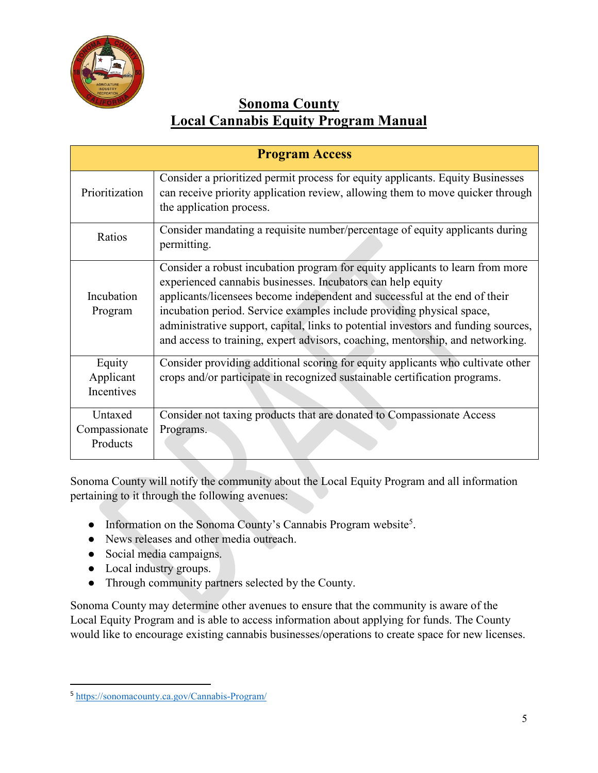

| <b>Program Access</b>                |                                                                                                                                                                                                                                                                                                                                                                                                                                                                             |
|--------------------------------------|-----------------------------------------------------------------------------------------------------------------------------------------------------------------------------------------------------------------------------------------------------------------------------------------------------------------------------------------------------------------------------------------------------------------------------------------------------------------------------|
| Prioritization                       | Consider a prioritized permit process for equity applicants. Equity Businesses<br>can receive priority application review, allowing them to move quicker through<br>the application process.                                                                                                                                                                                                                                                                                |
| Ratios                               | Consider mandating a requisite number/percentage of equity applicants during<br>permitting.                                                                                                                                                                                                                                                                                                                                                                                 |
| Incubation<br>Program                | Consider a robust incubation program for equity applicants to learn from more<br>experienced cannabis businesses. Incubators can help equity<br>applicants/licensees become independent and successful at the end of their<br>incubation period. Service examples include providing physical space,<br>administrative support, capital, links to potential investors and funding sources,<br>and access to training, expert advisors, coaching, mentorship, and networking. |
| Equity<br>Applicant<br>Incentives    | Consider providing additional scoring for equity applicants who cultivate other<br>crops and/or participate in recognized sustainable certification programs.                                                                                                                                                                                                                                                                                                               |
| Untaxed<br>Compassionate<br>Products | Consider not taxing products that are donated to Compassionate Access<br>Programs.                                                                                                                                                                                                                                                                                                                                                                                          |

Sonoma County will notify the community about the Local Equity Program and all information pertaining to it through the following avenues:

- Information on the Sonoma County's Cannabis Program website<sup>5</sup>.
- News releases and other media outreach.
- Social media campaigns.
- Local industry groups.
- Through community partners selected by the County.

Sonoma County may determine other avenues to ensure that the community is aware of the Local Equity Program and is able to access information about applying for funds. The County would like to encourage existing cannabis businesses/operations to create space for new licenses.

 <sup>5</sup> <https://sonomacounty.ca.gov/Cannabis-Program/>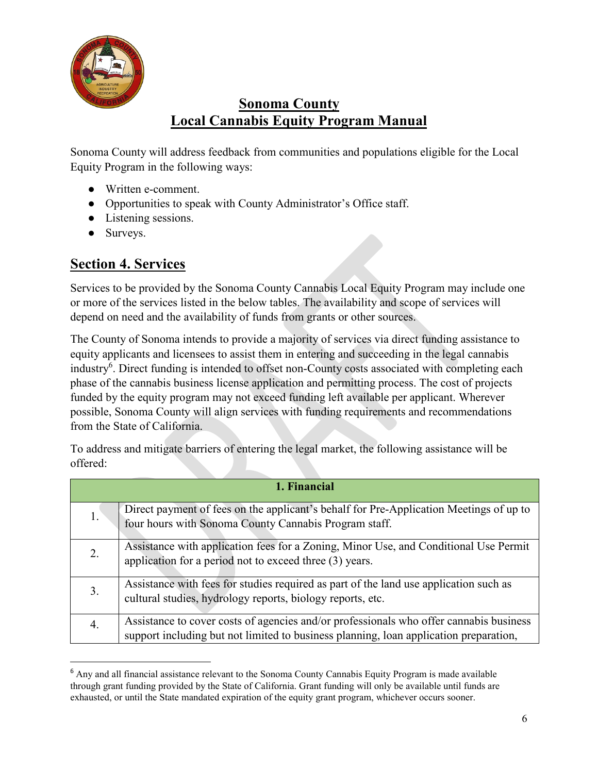

Sonoma County will address feedback from communities and populations eligible for the Local Equity Program in the following ways:

- Written e-comment.
- Opportunities to speak with County Administrator's Office staff.
- Listening sessions.
- Surveys.

## **Section 4. Services**

Services to be provided by the Sonoma County Cannabis Local Equity Program may include one or more of the services listed in the below tables. The availability and scope of services will depend on need and the availability of funds from grants or other sources.

The County of Sonoma intends to provide a majority of services via direct funding assistance to equity applicants and licensees to assist them in entering and succeeding in the legal cannabis industry<sup>6</sup>. Direct funding is intended to offset non-County costs associated with completing each phase of the cannabis business license application and permitting process. The cost of projects funded by the equity program may not exceed funding left available per applicant. Wherever possible, Sonoma County will align services with funding requirements and recommendations from the State of California.

To address and mitigate barriers of entering the legal market, the following assistance will be offered:

| 1. Financial |                                                                                                                                                                                 |
|--------------|---------------------------------------------------------------------------------------------------------------------------------------------------------------------------------|
|              | Direct payment of fees on the applicant's behalf for Pre-Application Meetings of up to<br>four hours with Sonoma County Cannabis Program staff.                                 |
| 2.           | Assistance with application fees for a Zoning, Minor Use, and Conditional Use Permit<br>application for a period not to exceed three (3) years.                                 |
| 3.           | Assistance with fees for studies required as part of the land use application such as<br>cultural studies, hydrology reports, biology reports, etc.                             |
| 4.           | Assistance to cover costs of agencies and/or professionals who offer cannabis business<br>support including but not limited to business planning, loan application preparation, |

 $6$  Any and all financial assistance relevant to the Sonoma County Cannabis Equity Program is made available through grant funding provided by the State of California. Grant funding will only be available until funds are exhausted, or until the State mandated expiration of the equity grant program, whichever occurs sooner.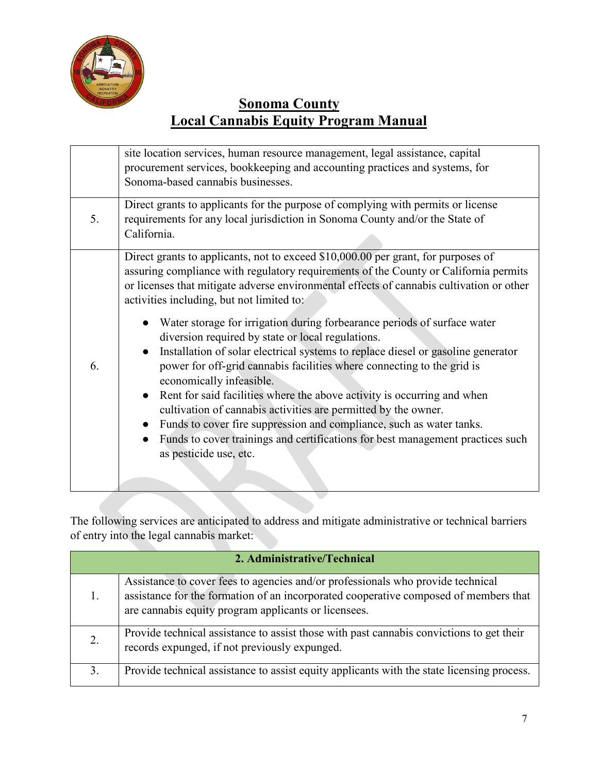

|    | site location services, human resource management, legal assistance, capital<br>procurement services, bookkeeping and accounting practices and systems, for<br>Sonoma-based cannabis businesses.                                                                                                                                                                                                                                                                                                                                                                                                                                                                                                                                                                                                                                                                                                                                                                               |
|----|--------------------------------------------------------------------------------------------------------------------------------------------------------------------------------------------------------------------------------------------------------------------------------------------------------------------------------------------------------------------------------------------------------------------------------------------------------------------------------------------------------------------------------------------------------------------------------------------------------------------------------------------------------------------------------------------------------------------------------------------------------------------------------------------------------------------------------------------------------------------------------------------------------------------------------------------------------------------------------|
| 5. | Direct grants to applicants for the purpose of complying with permits or license<br>requirements for any local jurisdiction in Sonoma County and/or the State of<br>California.                                                                                                                                                                                                                                                                                                                                                                                                                                                                                                                                                                                                                                                                                                                                                                                                |
| 6. | Direct grants to applicants, not to exceed \$10,000.00 per grant, for purposes of<br>assuring compliance with regulatory requirements of the County or California permits<br>or licenses that mitigate adverse environmental effects of cannabis cultivation or other<br>activities including, but not limited to:<br>Water storage for irrigation during forbearance periods of surface water<br>diversion required by state or local regulations.<br>Installation of solar electrical systems to replace diesel or gasoline generator<br>power for off-grid cannabis facilities where connecting to the grid is<br>economically infeasible.<br>Rent for said facilities where the above activity is occurring and when<br>cultivation of cannabis activities are permitted by the owner.<br>Funds to cover fire suppression and compliance, such as water tanks.<br>Funds to cover trainings and certifications for best management practices such<br>as pesticide use, etc. |
|    |                                                                                                                                                                                                                                                                                                                                                                                                                                                                                                                                                                                                                                                                                                                                                                                                                                                                                                                                                                                |

The following services are anticipated to address and mitigate administrative or technical barriers of entry into the legal cannabis market:

| 2. Administrative/Technical |                                                                                                                                                                                                                                 |
|-----------------------------|---------------------------------------------------------------------------------------------------------------------------------------------------------------------------------------------------------------------------------|
|                             | Assistance to cover fees to agencies and/or professionals who provide technical<br>assistance for the formation of an incorporated cooperative composed of members that<br>are cannabis equity program applicants or licensees. |
|                             | Provide technical assistance to assist those with past cannabis convictions to get their<br>records expunged, if not previously expunged.                                                                                       |
| 3.                          | Provide technical assistance to assist equity applicants with the state licensing process.                                                                                                                                      |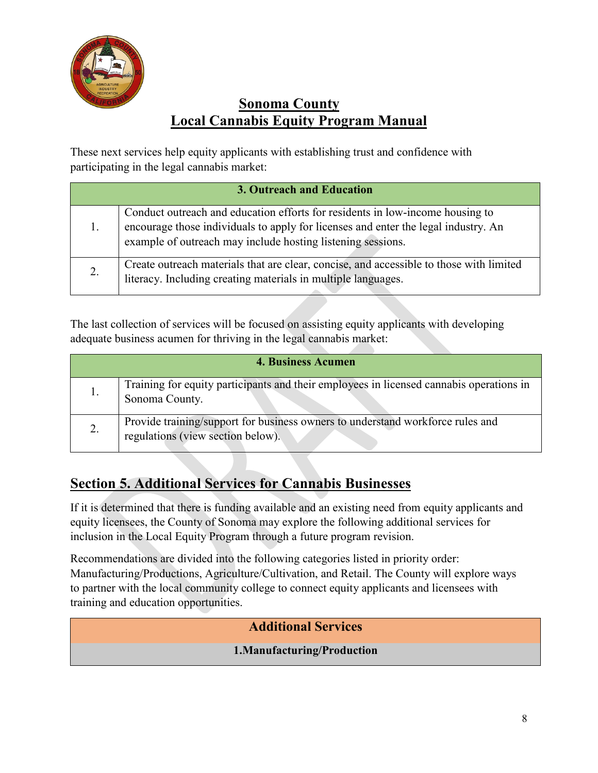

These next services help equity applicants with establishing trust and confidence with participating in the legal cannabis market:

| 3. Outreach and Education |                                                                                                                                                                                                                                    |
|---------------------------|------------------------------------------------------------------------------------------------------------------------------------------------------------------------------------------------------------------------------------|
|                           | Conduct outreach and education efforts for residents in low-income housing to<br>encourage those individuals to apply for licenses and enter the legal industry. An<br>example of outreach may include hosting listening sessions. |
| 2.                        | Create outreach materials that are clear, concise, and accessible to those with limited<br>literacy. Including creating materials in multiple languages.                                                                           |

The last collection of services will be focused on assisting equity applicants with developing adequate business acumen for thriving in the legal cannabis market:

| <b>4. Business Acumen</b> |                                                                                                                     |
|---------------------------|---------------------------------------------------------------------------------------------------------------------|
| 1.                        | Training for equity participants and their employees in licensed cannabis operations in<br>Sonoma County.           |
| 2.                        | Provide training/support for business owners to understand workforce rules and<br>regulations (view section below). |

# **Section 5. Additional Services for Cannabis Businesses**

If it is determined that there is funding available and an existing need from equity applicants and equity licensees, the County of Sonoma may explore the following additional services for inclusion in the Local Equity Program through a future program revision.

Recommendations are divided into the following categories listed in priority order: Manufacturing/Productions, Agriculture/Cultivation, and Retail. The County will explore ways to partner with the local community college to connect equity applicants and licensees with training and education opportunities.

## **Additional Services**

## **1.Manufacturing/Production**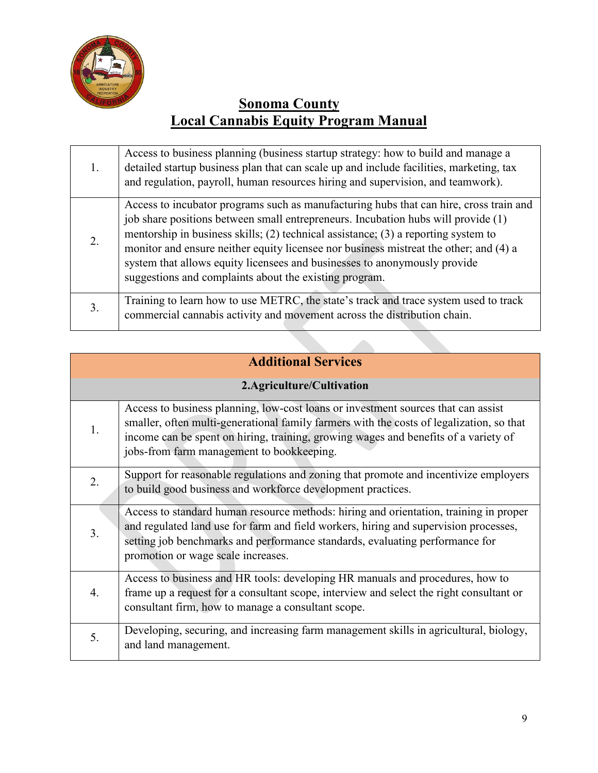

| 1. | Access to business planning (business startup strategy: how to build and manage a<br>detailed startup business plan that can scale up and include facilities, marketing, tax<br>and regulation, payroll, human resources hiring and supervision, and teamwork).                                                                                                                                                                                                                                   |
|----|---------------------------------------------------------------------------------------------------------------------------------------------------------------------------------------------------------------------------------------------------------------------------------------------------------------------------------------------------------------------------------------------------------------------------------------------------------------------------------------------------|
| 2. | Access to incubator programs such as manufacturing hubs that can hire, cross train and<br>job share positions between small entrepreneurs. Incubation hubs will provide (1)<br>mentorship in business skills; (2) technical assistance; (3) a reporting system to<br>monitor and ensure neither equity licensee nor business mistreat the other; and (4) a<br>system that allows equity licensees and businesses to anonymously provide<br>suggestions and complaints about the existing program. |
| 3. | Training to learn how to use METRC, the state's track and trace system used to track<br>commercial cannabis activity and movement across the distribution chain.                                                                                                                                                                                                                                                                                                                                  |

# **Additional Services**

## **2.Agriculture/Cultivation**

| 1. | Access to business planning, low-cost loans or investment sources that can assist<br>smaller, often multi-generational family farmers with the costs of legalization, so that<br>income can be spent on hiring, training, growing wages and benefits of a variety of<br>jobs-from farm management to bookkeeping. |
|----|-------------------------------------------------------------------------------------------------------------------------------------------------------------------------------------------------------------------------------------------------------------------------------------------------------------------|
| 2. | Support for reasonable regulations and zoning that promote and incentivize employers<br>to build good business and workforce development practices.                                                                                                                                                               |
| 3. | Access to standard human resource methods: hiring and orientation, training in proper<br>and regulated land use for farm and field workers, hiring and supervision processes,<br>setting job benchmarks and performance standards, evaluating performance for<br>promotion or wage scale increases.               |
| 4. | Access to business and HR tools: developing HR manuals and procedures, how to<br>frame up a request for a consultant scope, interview and select the right consultant or<br>consultant firm, how to manage a consultant scope.                                                                                    |
| 5. | Developing, securing, and increasing farm management skills in agricultural, biology,<br>and land management.                                                                                                                                                                                                     |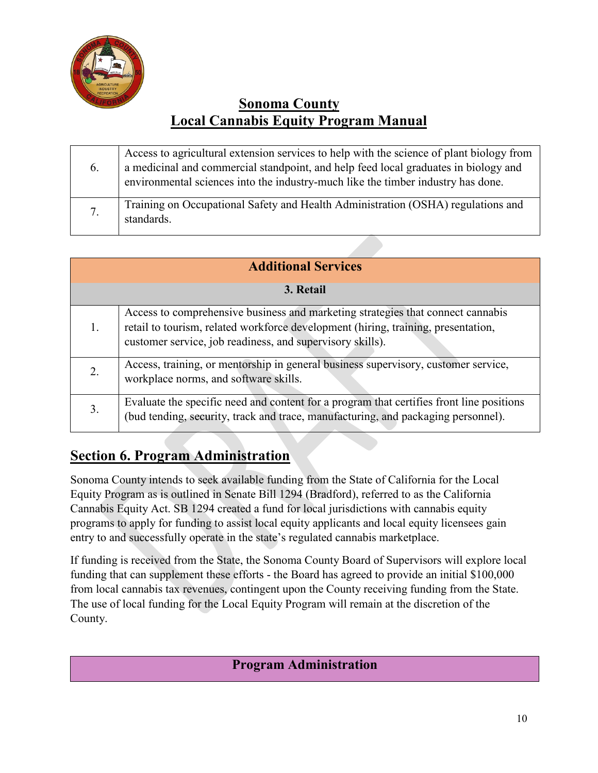

| 6. | Access to agricultural extension services to help with the science of plant biology from<br>a medicinal and commercial standpoint, and help feed local graduates in biology and<br>environmental sciences into the industry-much like the timber industry has done. |
|----|---------------------------------------------------------------------------------------------------------------------------------------------------------------------------------------------------------------------------------------------------------------------|
| 7. | Training on Occupational Safety and Health Administration (OSHA) regulations and<br>standards.                                                                                                                                                                      |

| <b>Additional Services</b> |                                                                                                                                                                                                                                   |  |
|----------------------------|-----------------------------------------------------------------------------------------------------------------------------------------------------------------------------------------------------------------------------------|--|
| 3. Retail                  |                                                                                                                                                                                                                                   |  |
|                            | Access to comprehensive business and marketing strategies that connect cannabis<br>retail to tourism, related workforce development (hiring, training, presentation,<br>customer service, job readiness, and supervisory skills). |  |
|                            | Access, training, or mentorship in general business supervisory, customer service,<br>workplace norms, and software skills.                                                                                                       |  |
| 3.                         | Evaluate the specific need and content for a program that certifies front line positions<br>(bud tending, security, track and trace, manufacturing, and packaging personnel).                                                     |  |

# **Section 6. Program Administration**

Sonoma County intends to seek available funding from the State of California for the Local Equity Program as is outlined in Senate Bill 1294 (Bradford), referred to as the California Cannabis Equity Act. SB 1294 created a fund for local jurisdictions with cannabis equity programs to apply for funding to assist local equity applicants and local equity licensees gain entry to and successfully operate in the state's regulated cannabis marketplace.

If funding is received from the State, the Sonoma County Board of Supervisors will explore local funding that can supplement these efforts - the Board has agreed to provide an initial \$100,000 from local cannabis tax revenues, contingent upon the County receiving funding from the State. The use of local funding for the Local Equity Program will remain at the discretion of the County.

## **Program Administration**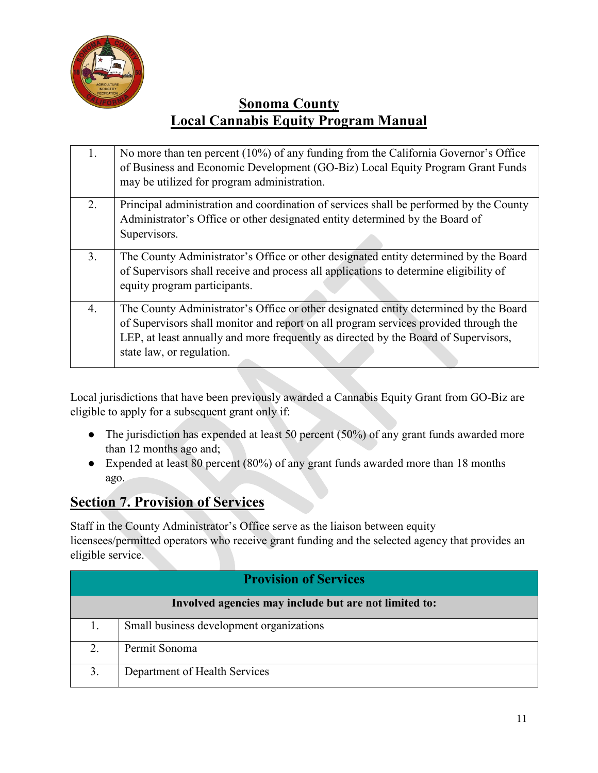

| 1. | No more than ten percent (10%) of any funding from the California Governor's Office<br>of Business and Economic Development (GO-Biz) Local Equity Program Grant Funds<br>may be utilized for program administration.                                                                             |
|----|--------------------------------------------------------------------------------------------------------------------------------------------------------------------------------------------------------------------------------------------------------------------------------------------------|
| 2. | Principal administration and coordination of services shall be performed by the County<br>Administrator's Office or other designated entity determined by the Board of<br>Supervisors.                                                                                                           |
| 3. | The County Administrator's Office or other designated entity determined by the Board<br>of Supervisors shall receive and process all applications to determine eligibility of<br>equity program participants.                                                                                    |
| 4. | The County Administrator's Office or other designated entity determined by the Board<br>of Supervisors shall monitor and report on all program services provided through the<br>LEP, at least annually and more frequently as directed by the Board of Supervisors,<br>state law, or regulation. |

Local jurisdictions that have been previously awarded a Cannabis Equity Grant from GO-Biz are eligible to apply for a subsequent grant only if:

- The jurisdiction has expended at least 50 percent (50%) of any grant funds awarded more than 12 months ago and;
- Expended at least 80 percent (80%) of any grant funds awarded more than 18 months ago.

## **Section 7. Provision of Services**

Staff in the County Administrator's Office serve as the liaison between equity licensees/permitted operators who receive grant funding and the selected agency that provides an eligible service.

| <b>Provision of Services</b>                          |                                          |  |
|-------------------------------------------------------|------------------------------------------|--|
| Involved agencies may include but are not limited to: |                                          |  |
|                                                       | Small business development organizations |  |
| 2.                                                    | Permit Sonoma                            |  |
| 3.                                                    | Department of Health Services            |  |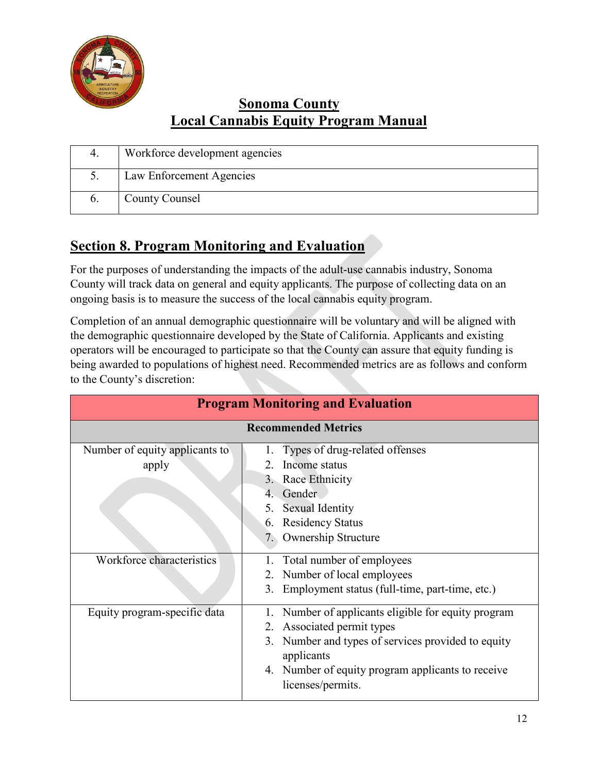

|              | Workforce development agencies |
|--------------|--------------------------------|
|              | Law Enforcement Agencies       |
| $\mathbf{0}$ | <b>County Counsel</b>          |

# **Section 8. Program Monitoring and Evaluation**

For the purposes of understanding the impacts of the adult-use cannabis industry, Sonoma County will track data on general and equity applicants. The purpose of collecting data on an ongoing basis is to measure the success of the local cannabis equity program.

Completion of an annual demographic questionnaire will be voluntary and will be aligned with the demographic questionnaire developed by the State of California. Applicants and existing operators will be encouraged to participate so that the County can assure that equity funding is being awarded to populations of highest need. Recommended metrics are as follows and conform to the County's discretion:

| <b>Program Monitoring and Evaluation</b> |                                                                                                                                                                                                                                 |  |  |
|------------------------------------------|---------------------------------------------------------------------------------------------------------------------------------------------------------------------------------------------------------------------------------|--|--|
| <b>Recommended Metrics</b>               |                                                                                                                                                                                                                                 |  |  |
| Number of equity applicants to<br>apply  | Types of drug-related offenses<br>Income status<br>3. Race Ethnicity<br>Gender<br>4.<br><b>Sexual Identity</b><br>5.<br><b>Residency Status</b><br>6.<br><b>Ownership Structure</b><br>7.                                       |  |  |
| Workforce characteristics                | 1. Total number of employees<br>2. Number of local employees<br>3. Employment status (full-time, part-time, etc.)                                                                                                               |  |  |
| Equity program-specific data             | Number of applicants eligible for equity program<br>2. Associated permit types<br>Number and types of services provided to equity<br>3.<br>applicants<br>4. Number of equity program applicants to receive<br>licenses/permits. |  |  |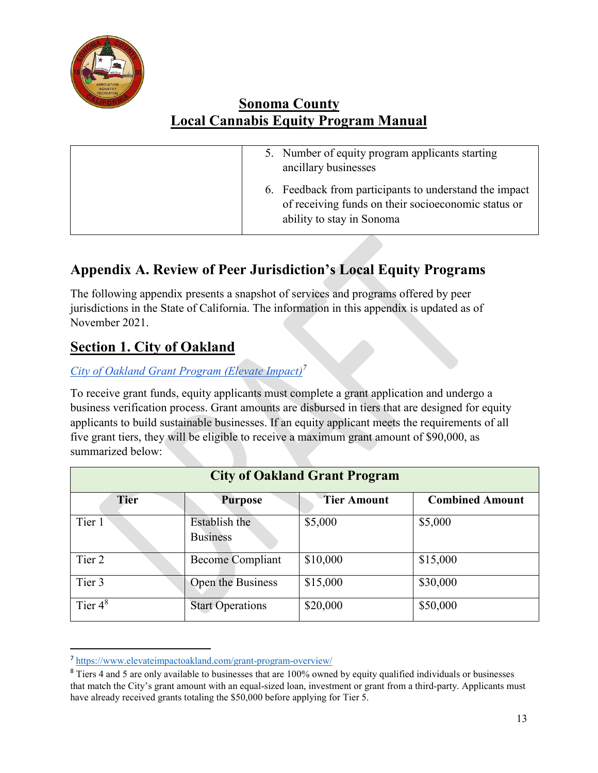

| 5. Number of equity program applicants starting<br>ancillary businesses                                                                    |
|--------------------------------------------------------------------------------------------------------------------------------------------|
| 6. Feedback from participants to understand the impact<br>of receiving funds on their socioeconomic status or<br>ability to stay in Sonoma |

# **Appendix A. Review of Peer Jurisdiction's Local Equity Programs**

The following appendix presents a snapshot of services and programs offered by peer jurisdictions in the State of California. The information in this appendix is updated as of November 2021.

## **Section 1. City of Oakland**

## *[City of Oakland Grant Program \(Elevate Impact\)7](https://www.elevateimpactoakland.com/)*

To receive grant funds, equity applicants must complete a grant application and undergo a business verification process. Grant amounts are disbursed in tiers that are designed for equity applicants to build sustainable businesses. If an equity applicant meets the requirements of all five grant tiers, they will be eligible to receive a maximum grant amount of \$90,000, as summarized below:

| <b>City of Oakland Grant Program</b> |                                  |                    |                        |
|--------------------------------------|----------------------------------|--------------------|------------------------|
| <b>Tier</b>                          | <b>Purpose</b>                   | <b>Tier Amount</b> | <b>Combined Amount</b> |
| Tier 1                               | Establish the<br><b>Business</b> | \$5,000            | \$5,000                |
| Tier 2                               | <b>Become Compliant</b>          | \$10,000           | \$15,000               |
| Tier 3                               | Open the Business                | \$15,000           | \$30,000               |
| Tier $4^8$                           | <b>Start Operations</b>          | \$20,000           | \$50,000               |

 <sup>7</sup> <https://www.elevateimpactoakland.com/grant-program-overview/>

<sup>&</sup>lt;sup>8</sup> Tiers 4 and 5 are only available to businesses that are 100% owned by equity qualified individuals or businesses that match the City's grant amount with an equal-sized loan, investment or grant from a third-party. Applicants must have already received grants totaling the \$50,000 before applying for Tier 5.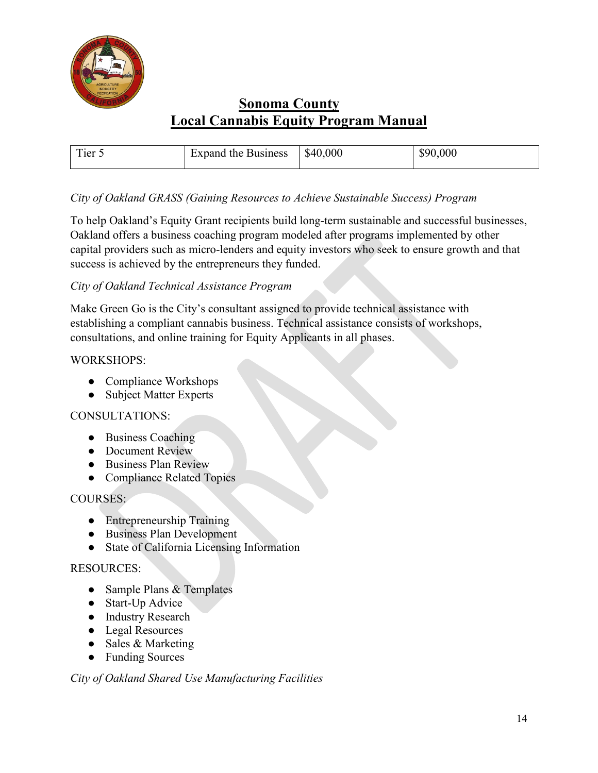

| $\mathbf{r}$<br>l'ier 5 | Expand the Business | \$40,000 | \$90,000 |
|-------------------------|---------------------|----------|----------|

#### *City of Oakland GRASS (Gaining Resources to Achieve Sustainable Success) Program*

To help Oakland's Equity Grant recipients build long-term sustainable and successful businesses, Oakland offers a business coaching program modeled after programs implemented by other capital providers such as micro-lenders and equity investors who seek to ensure growth and that success is achieved by the entrepreneurs they funded.

#### *City of Oakland Technical Assistance Program*

Make Green Go is the City's consultant assigned to provide technical assistance with establishing a compliant cannabis business. Technical assistance consists of workshops, consultations, and online training for Equity Applicants in all phases.

#### WORKSHOPS:

- Compliance Workshops
- Subject Matter Experts

#### CONSULTATIONS:

- Business Coaching
- Document Review
- Business Plan Review
- Compliance Related Topics

#### COURSES:

- Entrepreneurship Training
- Business Plan Development
- State of California Licensing Information

#### RESOURCES:

- Sample Plans & Templates
- Start-Up Advice
- Industry Research
- Legal Resources
- Sales & Marketing
- Funding Sources

#### *City of Oakland Shared Use Manufacturing Facilities*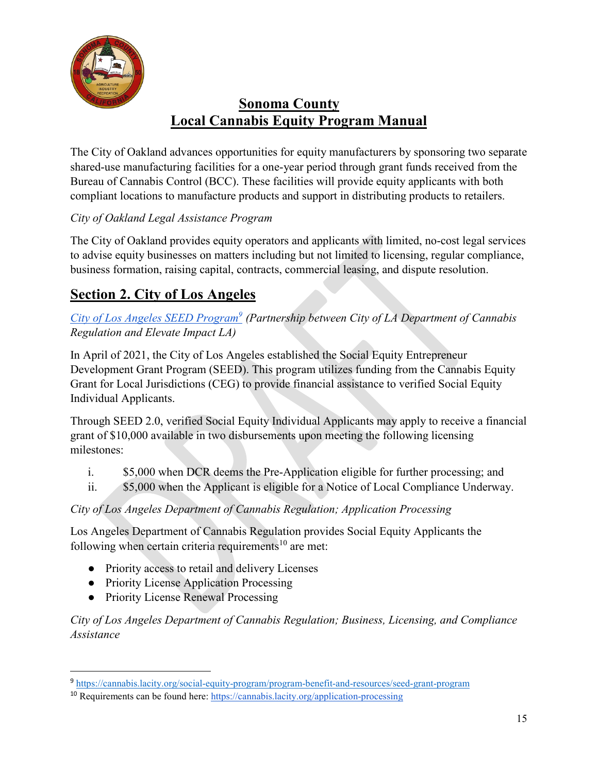

The City of Oakland advances opportunities for equity manufacturers by sponsoring two separate shared-use manufacturing facilities for a one-year period through grant funds received from the Bureau of Cannabis Control (BCC). These facilities will provide equity applicants with both compliant locations to manufacture products and support in distributing products to retailers.

## *City of Oakland Legal Assistance Program*

The City of Oakland provides equity operators and applicants with limited, no-cost legal services to advise equity businesses on matters including but not limited to licensing, regular compliance, business formation, raising capital, contracts, commercial leasing, and dispute resolution.

# **Section 2. City of Los Angeles**

### *[City of Los Angeles SEED Program9](https://cannabis.lacity.org/social-equity-program/program-benefit-and-resources/seed-grant-program) (Partnership between City of LA Department of Cannabis Regulation and Elevate Impact LA)*

In April of 2021, the City of Los Angeles established the Social Equity Entrepreneur Development Grant Program (SEED). This program utilizes funding from the Cannabis Equity Grant for Local Jurisdictions (CEG) to provide financial assistance to verified Social Equity Individual Applicants.

Through SEED 2.0, verified Social Equity Individual Applicants may apply to receive a financial grant of \$10,000 available in two disbursements upon meeting the following licensing milestones:

- i. \$5,000 when DCR deems the Pre-Application eligible for further processing; and
- ii. \$5,000 when the Applicant is eligible for a Notice of Local Compliance Underway.

## *City of Los Angeles Department of Cannabis Regulation; Application Processing*

Los Angeles Department of Cannabis Regulation provides Social Equity Applicants the following when certain criteria requirements<sup>10</sup> are met:

- Priority access to retail and delivery Licenses
- Priority License Application Processing
- Priority License Renewal Processing

*City of Los Angeles Department of Cannabis Regulation; Business, Licensing, and Compliance Assistance*

 <sup>9</sup> <https://cannabis.lacity.org/social-equity-program/program-benefit-and-resources/seed-grant-program>

<sup>10</sup> Requirements can be found here:<https://cannabis.lacity.org/application-processing>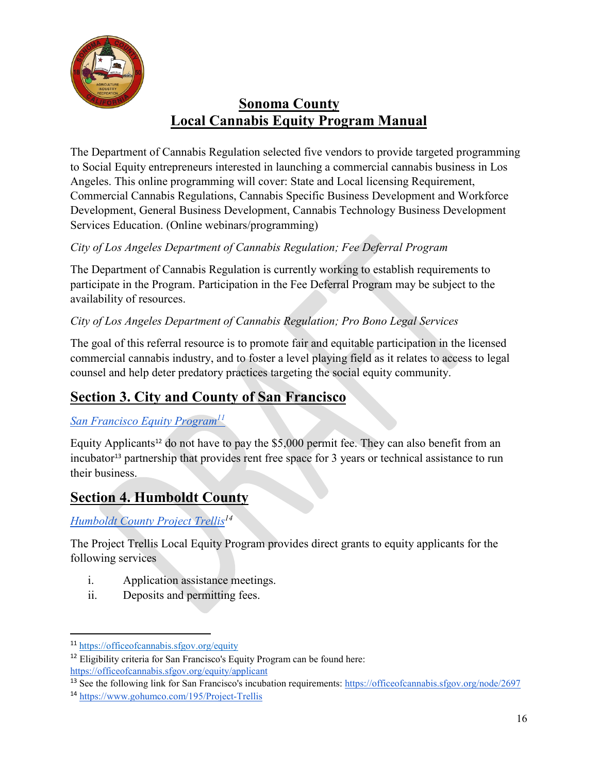

The Department of Cannabis Regulation selected five vendors to provide targeted programming to Social Equity entrepreneurs interested in launching a commercial cannabis business in Los Angeles. This online programming will cover: State and Local licensing Requirement, Commercial Cannabis Regulations, Cannabis Specific Business Development and Workforce Development, General Business Development, Cannabis Technology Business Development Services Education. (Online webinars/programming)

## *City of Los Angeles Department of Cannabis Regulation; Fee Deferral Program*

The Department of Cannabis Regulation is currently working to establish requirements to participate in the Program. Participation in the Fee Deferral Program may be subject to the availability of resources.

## *City of Los Angeles Department of Cannabis Regulation; Pro Bono Legal Services*

The goal of this referral resource is to promote fair and equitable participation in the licensed commercial cannabis industry, and to foster a level playing field as it relates to access to legal counsel and help deter predatory practices targeting the social equity community.

# **Section 3. City and County of San Francisco**

#### *[San Francisco Equity Program1](https://officeofcannabis.sfgov.org/equity)1*

Equity Applicants<sup>12</sup> do not have to pay the  $$5,000$  permit fee. They can also benefit from an incubator<sup>13</sup> partnership that provides rent free space for 3 years or technical assistance to run their business.

## **Section 4. Humboldt County**

*[Humboldt County Project Trellis1](https://www.gohumco.com/195/Project-Trellis)4*

The Project Trellis Local Equity Program provides direct grants to equity applicants for the following services

- i. Application assistance meetings.
- ii. Deposits and permitting fees.

 <sup>11</sup> <https://officeofcannabis.sfgov.org/equity>

 $12$  Eligibility criteria for San Francisco's Equity Program can be found here: <https://officeofcannabis.sfgov.org/equity/applicant>

<sup>&</sup>lt;sup>13</sup> See the following link for San Francisco's incubation requirements:<https://officeofcannabis.sfgov.org/node/2697>

<sup>14</sup> <https://www.gohumco.com/195/Project-Trellis>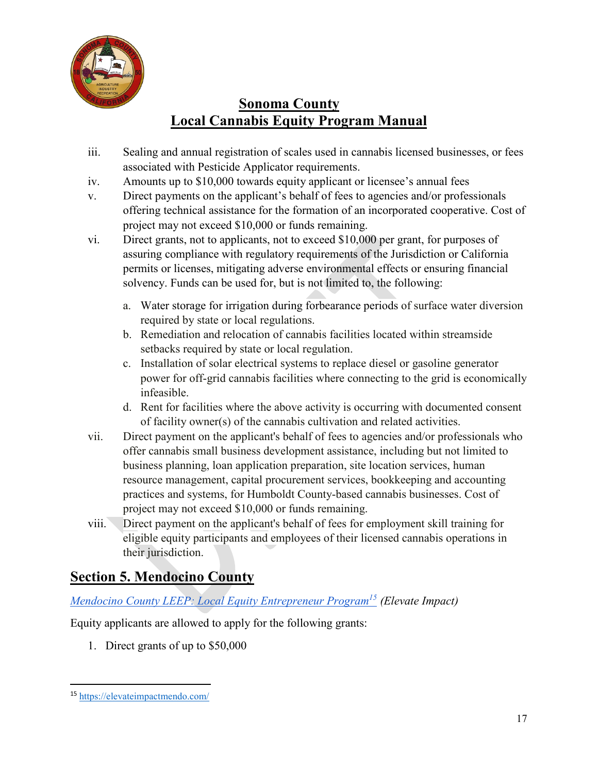

- iii. Sealing and annual registration of scales used in cannabis licensed businesses, or fees associated with Pesticide Applicator requirements.
- iv. Amounts up to \$10,000 towards equity applicant or licensee's annual fees
- v. Direct payments on the applicant's behalf of fees to agencies and/or professionals offering technical assistance for the formation of an incorporated cooperative. Cost of project may not exceed \$10,000 or funds remaining.
- vi. Direct grants, not to applicants, not to exceed \$10,000 per grant, for purposes of assuring compliance with regulatory requirements of the Jurisdiction or California permits or licenses, mitigating adverse environmental effects or ensuring financial solvency. Funds can be used for, but is not limited to, the following:
	- a. Water storage for irrigation during forbearance periods of surface water diversion required by state or local regulations.
	- b. Remediation and relocation of cannabis facilities located within streamside setbacks required by state or local regulation.
	- c. Installation of solar electrical systems to replace diesel or gasoline generator power for off-grid cannabis facilities where connecting to the grid is economically infeasible.
	- d. Rent for facilities where the above activity is occurring with documented consent of facility owner(s) of the cannabis cultivation and related activities.
- vii. Direct payment on the applicant's behalf of fees to agencies and/or professionals who offer cannabis small business development assistance, including but not limited to business planning, loan application preparation, site location services, human resource management, capital procurement services, bookkeeping and accounting practices and systems, for Humboldt County-based cannabis businesses. Cost of project may not exceed \$10,000 or funds remaining.
- viii. Direct payment on the applicant's behalf of fees for employment skill training for eligible equity participants and employees of their licensed cannabis operations in their jurisdiction.

## **Section 5. Mendocino County**

## *[Mendocino County LEEP: Local Equity Entrepreneur Program1](https://elevateimpactmendo.com/)5 (Elevate Impact)*

Equity applicants are allowed to apply for the following grants:

1. Direct grants of up to \$50,000

 <sup>15</sup> <https://elevateimpactmendo.com/>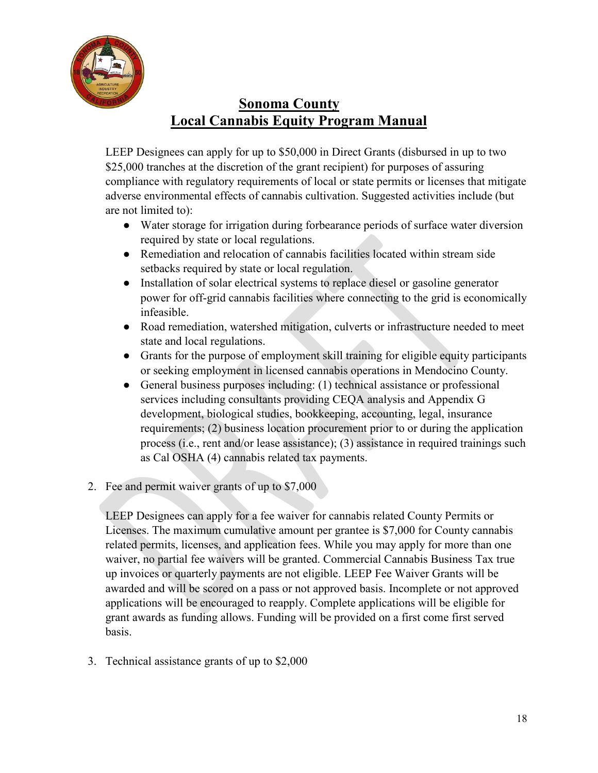

LEEP Designees can apply for up to \$50,000 in Direct Grants (disbursed in up to two \$25,000 tranches at the discretion of the grant recipient) for purposes of assuring compliance with regulatory requirements of local or state permits or licenses that mitigate adverse environmental effects of cannabis cultivation. Suggested activities include (but are not limited to):

- Water storage for irrigation during forbearance periods of surface water diversion required by state or local regulations.
- Remediation and relocation of cannabis facilities located within stream side setbacks required by state or local regulation.
- Installation of solar electrical systems to replace diesel or gasoline generator power for off-grid cannabis facilities where connecting to the grid is economically infeasible.
- Road remediation, watershed mitigation, culverts or infrastructure needed to meet state and local regulations.
- Grants for the purpose of employment skill training for eligible equity participants or seeking employment in licensed cannabis operations in Mendocino County.
- General business purposes including: (1) technical assistance or professional services including consultants providing CEQA analysis and Appendix G development, biological studies, bookkeeping, accounting, legal, insurance requirements; (2) business location procurement prior to or during the application process (i.e., rent and/or lease assistance); (3) assistance in required trainings such as Cal OSHA (4) cannabis related tax payments.
- 2. Fee and permit waiver grants of up to \$7,000

LEEP Designees can apply for a fee waiver for cannabis related County Permits or Licenses. The maximum cumulative amount per grantee is \$7,000 for County cannabis related permits, licenses, and application fees. While you may apply for more than one waiver, no partial fee waivers will be granted. Commercial Cannabis Business Tax true up invoices or quarterly payments are not eligible. LEEP Fee Waiver Grants will be awarded and will be scored on a pass or not approved basis. Incomplete or not approved applications will be encouraged to reapply. Complete applications will be eligible for grant awards as funding allows. Funding will be provided on a first come first served basis.

3. Technical assistance grants of up to \$2,000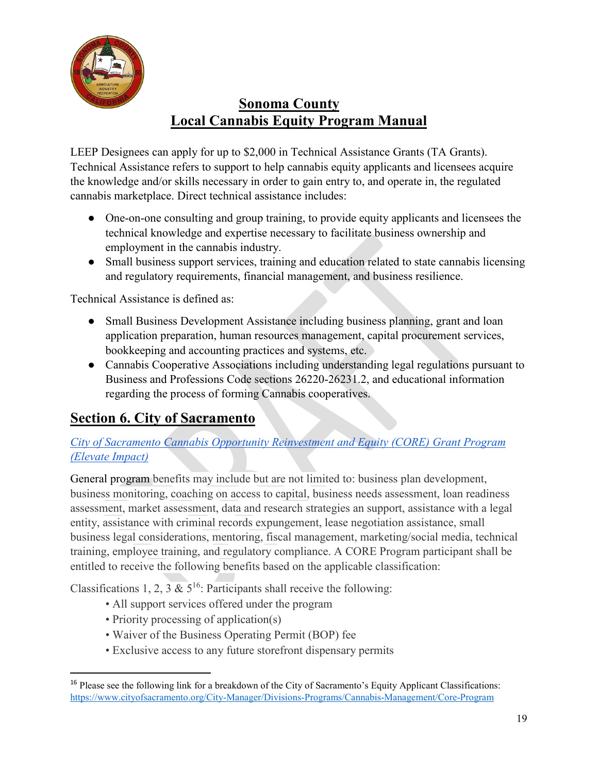

LEEP Designees can apply for up to \$2,000 in Technical Assistance Grants (TA Grants). Technical Assistance refers to support to help cannabis equity applicants and licensees acquire the knowledge and/or skills necessary in order to gain entry to, and operate in, the regulated cannabis marketplace. Direct technical assistance includes:

- One-on-one consulting and group training, to provide equity applicants and licensees the technical knowledge and expertise necessary to facilitate business ownership and employment in the cannabis industry.
- Small business support services, training and education related to state cannabis licensing and regulatory requirements, financial management, and business resilience.

Technical Assistance is defined as:

- Small Business Development Assistance including business planning, grant and loan application preparation, human resources management, capital procurement services, bookkeeping and accounting practices and systems, etc.
- Cannabis Cooperative Associations including understanding legal regulations pursuant to Business and Professions Code sections 26220-26231.2, and educational information regarding the process of forming Cannabis cooperatives.

# **Section 6. City of Sacramento**

## *[City of Sacramento Cannabis Opportunity Reinvestment and Equity \(CORE\) Grant Program](https://www.cityofsacramento.org/City-Manager/Divisions-Programs/Cannabis-Management/Core-Program)  [\(Elevate Impact\)](https://www.cityofsacramento.org/City-Manager/Divisions-Programs/Cannabis-Management/Core-Program)*

General program benefits may include but are not limited to: business plan development, business monitoring, coaching on access to capital, business needs assessment, loan readiness assessment, market assessment, data and research strategies an support, assistance with a legal entity, assistance with criminal records expungement, lease negotiation assistance, small business legal considerations, mentoring, fiscal management, marketing/social media, technical training, employee training, and regulatory compliance. A CORE Program participant shall be entitled to receive the following benefits based on the applicable classification:

Classifications 1, 2,  $3 \& 5^{16}$ : Participants shall receive the following:

- All support services offered under the program
- Priority processing of application(s)
- Waiver of the Business Operating Permit (BOP) fee
- Exclusive access to any future storefront dispensary permits

 <sup>16</sup> Please see the following link for a breakdown of the City of Sacramento's Equity Applicant Classifications: <https://www.cityofsacramento.org/City-Manager/Divisions-Programs/Cannabis-Management/Core-Program>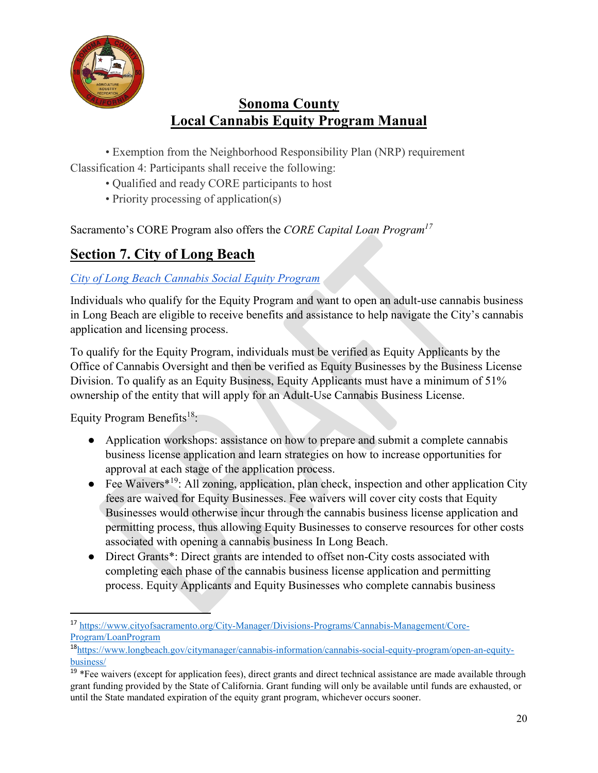

• Exemption from the Neighborhood Responsibility Plan (NRP) requirement Classification 4: Participants shall receive the following:

- Qualified and ready CORE participants to host
- Priority processing of application(s)

Sacramento's CORE Program also offers the *CORE Capital Loan Program17*

# **Section 7. City of Long Beach**

### *[City of Long Beach Cannabis Social Equity Program](https://www.longbeach.gov/citymanager/cannabis-information/cannabis-social-equity-program/open-an-equity-business/)*

Individuals who qualify for the Equity Program and want to open an adult-use cannabis business in Long Beach are eligible to receive benefits and assistance to help navigate the City's cannabis application and licensing process.

To qualify for the Equity Program, individuals must be verified as Equity Applicants by the Office of Cannabis Oversight and then be verified as Equity Businesses by the Business License Division. To qualify as an Equity Business, Equity Applicants must have a minimum of 51% ownership of the entity that will apply for an Adult-Use Cannabis Business License.

Equity Program Benefits<sup>18</sup>:

- Application workshops: assistance on how to prepare and submit a complete cannabis business license application and learn strategies on how to increase opportunities for approval at each stage of the application process.
- Fee Waivers<sup> $*19$ </sup>: All zoning, application, plan check, inspection and other application City fees are waived for Equity Businesses. Fee waivers will cover city costs that Equity Businesses would otherwise incur through the cannabis business license application and permitting process, thus allowing Equity Businesses to conserve resources for other costs associated with opening a cannabis business In Long Beach.
- Direct Grants\*: Direct grants are intended to offset non-City costs associated with completing each phase of the cannabis business license application and permitting process. Equity Applicants and Equity Businesses who complete cannabis business

 <sup>17</sup> [https://www.cityofsacramento.org/City-Manager/Divisions-Programs/Cannabis-Management/Core-](https://www.cityofsacramento.org/City-Manager/Divisions-Programs/Cannabis-Management/Core-Program/LoanProgram)[Program/LoanProgram](https://www.cityofsacramento.org/City-Manager/Divisions-Programs/Cannabis-Management/Core-Program/LoanProgram)

<sup>18</sup>[https://www.longbeach.gov/citymanager/cannabis-information/cannabis-social-equity-program/open-an-equity](https://www.longbeach.gov/citymanager/cannabis-information/cannabis-social-equity-program/open-an-equity-business/)[business/](https://www.longbeach.gov/citymanager/cannabis-information/cannabis-social-equity-program/open-an-equity-business/) 

 $19$  \*Fee waivers (except for application fees), direct grants and direct technical assistance are made available through grant funding provided by the State of California. Grant funding will only be available until funds are exhausted, or until the State mandated expiration of the equity grant program, whichever occurs sooner.